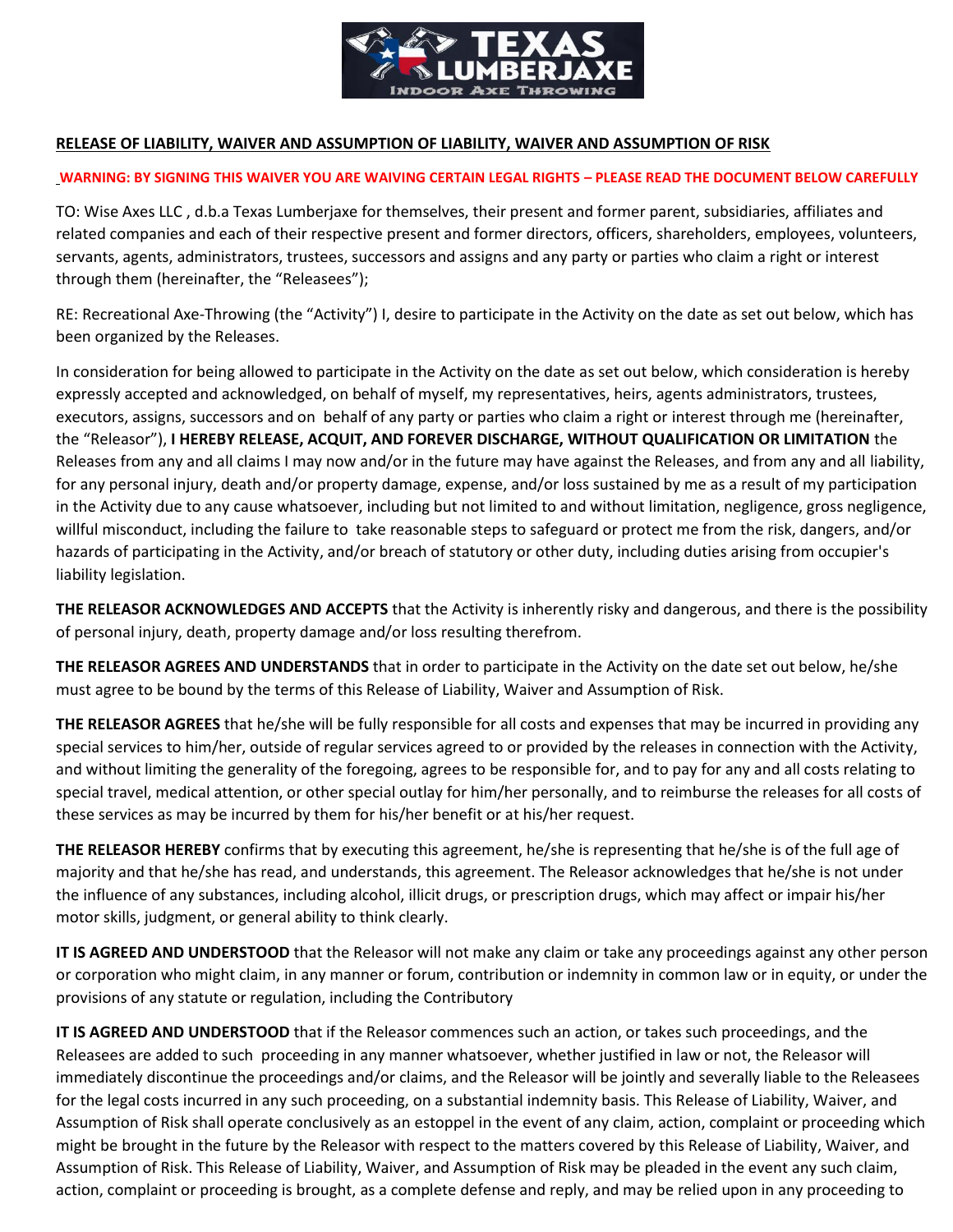

## **RELEASE OF LIABILITY, WAIVER AND ASSUMPTION OF LIABILITY, WAIVER AND ASSUMPTION OF RISK**

## **WARNING: BY SIGNING THIS WAIVER YOU ARE WAIVING CERTAIN LEGAL RIGHTS – PLEASE READ THE DOCUMENT BELOW CAREFULLY**

TO: Wise Axes LLC , d.b.a Texas Lumberjaxe for themselves, their present and former parent, subsidiaries, affiliates and related companies and each of their respective present and former directors, officers, shareholders, employees, volunteers, servants, agents, administrators, trustees, successors and assigns and any party or parties who claim a right or interest through them (hereinafter, the "Releasees");

RE: Recreational Axe-Throwing (the "Activity") I, desire to participate in the Activity on the date as set out below, which has been organized by the Releases.

In consideration for being allowed to participate in the Activity on the date as set out below, which consideration is hereby expressly accepted and acknowledged, on behalf of myself, my representatives, heirs, agents administrators, trustees, executors, assigns, successors and on behalf of any party or parties who claim a right or interest through me (hereinafter, the "Releasor"), **I HEREBY RELEASE, ACQUIT, AND FOREVER DISCHARGE, WITHOUT QUALIFICATION OR LIMITATION** the Releases from any and all claims I may now and/or in the future may have against the Releases, and from any and all liability, for any personal injury, death and/or property damage, expense, and/or loss sustained by me as a result of my participation in the Activity due to any cause whatsoever, including but not limited to and without limitation, negligence, gross negligence, willful misconduct, including the failure to take reasonable steps to safeguard or protect me from the risk, dangers, and/or hazards of participating in the Activity, and/or breach of statutory or other duty, including duties arising from occupier's liability legislation.

**THE RELEASOR ACKNOWLEDGES AND ACCEPTS** that the Activity is inherently risky and dangerous, and there is the possibility of personal injury, death, property damage and/or loss resulting therefrom.

**THE RELEASOR AGREES AND UNDERSTANDS** that in order to participate in the Activity on the date set out below, he/she must agree to be bound by the terms of this Release of Liability, Waiver and Assumption of Risk.

**THE RELEASOR AGREES** that he/she will be fully responsible for all costs and expenses that may be incurred in providing any special services to him/her, outside of regular services agreed to or provided by the releases in connection with the Activity, and without limiting the generality of the foregoing, agrees to be responsible for, and to pay for any and all costs relating to special travel, medical attention, or other special outlay for him/her personally, and to reimburse the releases for all costs of these services as may be incurred by them for his/her benefit or at his/her request.

**THE RELEASOR HEREBY** confirms that by executing this agreement, he/she is representing that he/she is of the full age of majority and that he/she has read, and understands, this agreement. The Releasor acknowledges that he/she is not under the influence of any substances, including alcohol, illicit drugs, or prescription drugs, which may affect or impair his/her motor skills, judgment, or general ability to think clearly.

**IT IS AGREED AND UNDERSTOOD** that the Releasor will not make any claim or take any proceedings against any other person or corporation who might claim, in any manner or forum, contribution or indemnity in common law or in equity, or under the provisions of any statute or regulation, including the Contributory

**IT IS AGREED AND UNDERSTOOD** that if the Releasor commences such an action, or takes such proceedings, and the Releasees are added to such proceeding in any manner whatsoever, whether justified in law or not, the Releasor will immediately discontinue the proceedings and/or claims, and the Releasor will be jointly and severally liable to the Releasees for the legal costs incurred in any such proceeding, on a substantial indemnity basis. This Release of Liability, Waiver, and Assumption of Risk shall operate conclusively as an estoppel in the event of any claim, action, complaint or proceeding which might be brought in the future by the Releasor with respect to the matters covered by this Release of Liability, Waiver, and Assumption of Risk. This Release of Liability, Waiver, and Assumption of Risk may be pleaded in the event any such claim, action, complaint or proceeding is brought, as a complete defense and reply, and may be relied upon in any proceeding to